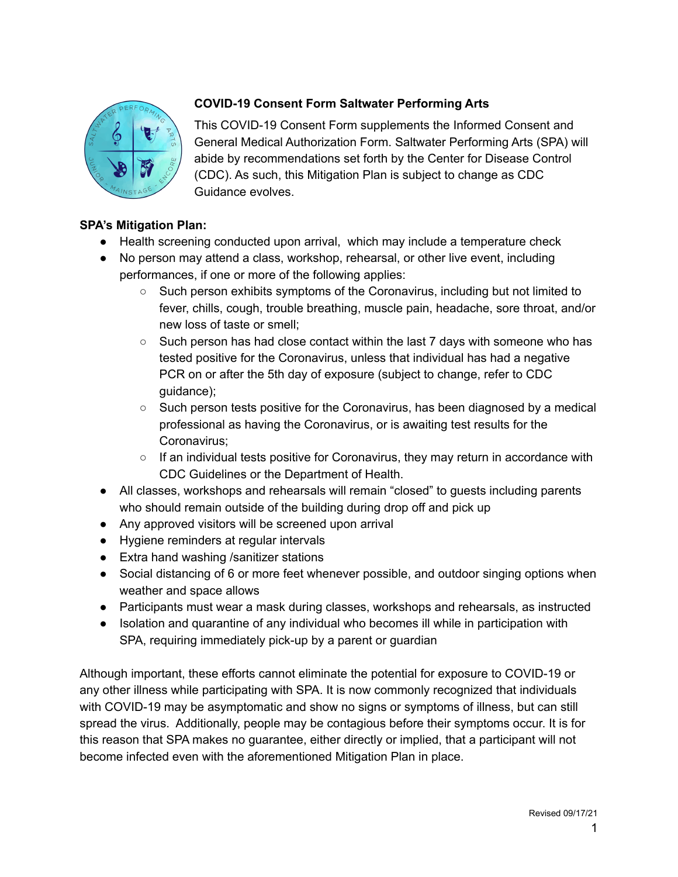

## **COVID-19 Consent Form Saltwater Performing Arts**

This COVID-19 Consent Form supplements the Informed Consent and General Medical Authorization Form. Saltwater Performing Arts (SPA) will abide by recommendations set forth by the Center for Disease Control (CDC). As such, this Mitigation Plan is subject to change as CDC Guidance evolves.

## **SPA's Mitigation Plan:**

- Health screening conducted upon arrival, which may include a temperature check
- No person may attend a class, workshop, rehearsal, or other live event, including performances, if one or more of the following applies:
	- Such person exhibits symptoms of the Coronavirus, including but not limited to fever, chills, cough, trouble breathing, muscle pain, headache, sore throat, and/or new loss of taste or smell;
	- Such person has had close contact within the last 7 days with someone who has tested positive for the Coronavirus, unless that individual has had a negative PCR on or after the 5th day of exposure (subject to change, refer to CDC quidance);
	- Such person tests positive for the Coronavirus, has been diagnosed by a medical professional as having the Coronavirus, or is awaiting test results for the Coronavirus;
	- $\circ$  If an individual tests positive for Coronavirus, they may return in accordance with CDC Guidelines or the Department of Health.
- All classes, workshops and rehearsals will remain "closed" to guests including parents who should remain outside of the building during drop off and pick up
- Any approved visitors will be screened upon arrival
- Hygiene reminders at regular intervals
- Extra hand washing / sanitizer stations
- Social distancing of 6 or more feet whenever possible, and outdoor singing options when weather and space allows
- Participants must wear a mask during classes, workshops and rehearsals, as instructed
- Isolation and quarantine of any individual who becomes ill while in participation with SPA, requiring immediately pick-up by a parent or guardian

Although important, these efforts cannot eliminate the potential for exposure to COVID-19 or any other illness while participating with SPA. It is now commonly recognized that individuals with COVID-19 may be asymptomatic and show no signs or symptoms of illness, but can still spread the virus. Additionally, people may be contagious before their symptoms occur. It is for this reason that SPA makes no guarantee, either directly or implied, that a participant will not become infected even with the aforementioned Mitigation Plan in place.